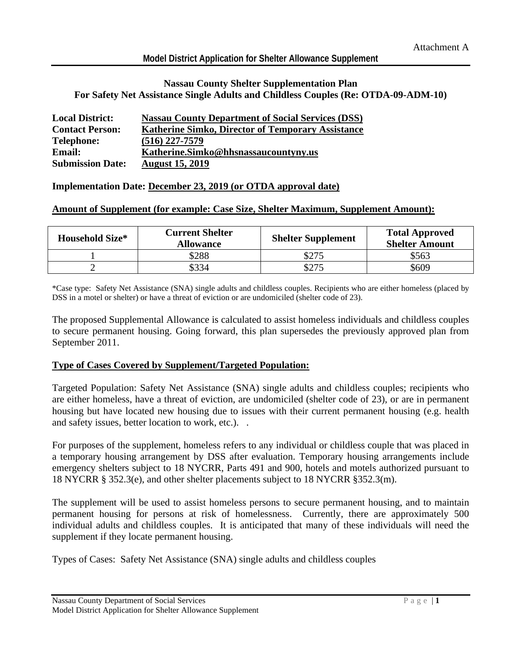#### **Model District Application for Shelter Allowance Supplement**

#### **Nassau County Shelter Supplementation Plan For Safety Net Assistance Single Adults and Childless Couples (Re: OTDA-09-ADM-10)**

| <b>Local District:</b>  | <b>Nassau County Department of Social Services (DSS)</b> |
|-------------------------|----------------------------------------------------------|
| <b>Contact Person:</b>  | <b>Katherine Simko, Director of Temporary Assistance</b> |
| <b>Telephone:</b>       | $(516)$ 227-7579                                         |
| <b>Email:</b>           | Katherine.Simko@hhsnassaucountyny.us                     |
| <b>Submission Date:</b> | <b>August 15, 2019</b>                                   |

#### **Implementation Date: December 23, 2019 (or OTDA approval date)**

#### **Amount of Supplement (for example: Case Size, Shelter Maximum, Supplement Amount):**

| <b>Household Size*</b> | <b>Current Shelter</b><br><b>Allowance</b> | <b>Shelter Supplement</b> | <b>Total Approved</b><br><b>Shelter Amount</b> |
|------------------------|--------------------------------------------|---------------------------|------------------------------------------------|
|                        | \$288                                      | \$275                     | \$563                                          |
|                        | \$334                                      | \$275                     | \$609                                          |

\*Case type: Safety Net Assistance (SNA) single adults and childless couples. Recipients who are either homeless (placed by DSS in a motel or shelter) or have a threat of eviction or are undomiciled (shelter code of 23).

The proposed Supplemental Allowance is calculated to assist homeless individuals and childless couples to secure permanent housing. Going forward, this plan supersedes the previously approved plan from September 2011.

#### **Type of Cases Covered by Supplement/Targeted Population:**

Targeted Population: Safety Net Assistance (SNA) single adults and childless couples; recipients who are either homeless, have a threat of eviction, are undomiciled (shelter code of 23), or are in permanent housing but have located new housing due to issues with their current permanent housing (e.g. health and safety issues, better location to work, etc.). .

For purposes of the supplement, homeless refers to any individual or childless couple that was placed in a temporary housing arrangement by DSS after evaluation. Temporary housing arrangements include emergency shelters subject to 18 NYCRR, Parts 491 and 900, hotels and motels authorized pursuant to 18 NYCRR § 352.3(e), and other shelter placements subject to 18 NYCRR §352.3(m).

The supplement will be used to assist homeless persons to secure permanent housing, and to maintain permanent housing for persons at risk of homelessness. Currently, there are approximately 500 individual adults and childless couples. It is anticipated that many of these individuals will need the supplement if they locate permanent housing.

Types of Cases: Safety Net Assistance (SNA) single adults and childless couples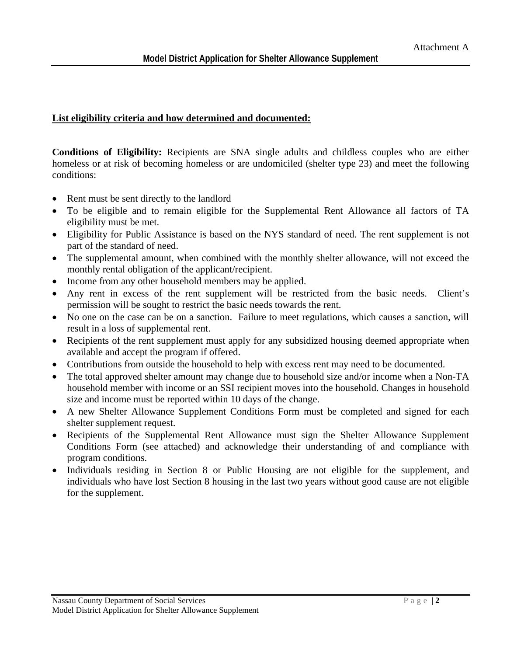#### **List eligibility criteria and how determined and documented:**

**Conditions of Eligibility:** Recipients are SNA single adults and childless couples who are either homeless or at risk of becoming homeless or are undomiciled (shelter type 23) and meet the following conditions:

- Rent must be sent directly to the landlord
- To be eligible and to remain eligible for the Supplemental Rent Allowance all factors of TA eligibility must be met.
- Eligibility for Public Assistance is based on the NYS standard of need. The rent supplement is not part of the standard of need.
- The supplemental amount, when combined with the monthly shelter allowance, will not exceed the monthly rental obligation of the applicant/recipient.
- Income from any other household members may be applied.
- Any rent in excess of the rent supplement will be restricted from the basic needs. Client's permission will be sought to restrict the basic needs towards the rent.
- No one on the case can be on a sanction. Failure to meet regulations, which causes a sanction, will result in a loss of supplemental rent.
- Recipients of the rent supplement must apply for any subsidized housing deemed appropriate when available and accept the program if offered.
- Contributions from outside the household to help with excess rent may need to be documented.
- The total approved shelter amount may change due to household size and/or income when a Non-TA household member with income or an SSI recipient moves into the household. Changes in household size and income must be reported within 10 days of the change.
- A new Shelter Allowance Supplement Conditions Form must be completed and signed for each shelter supplement request.
- Recipients of the Supplemental Rent Allowance must sign the Shelter Allowance Supplement Conditions Form (see attached) and acknowledge their understanding of and compliance with program conditions.
- Individuals residing in Section 8 or Public Housing are not eligible for the supplement, and individuals who have lost Section 8 housing in the last two years without good cause are not eligible for the supplement.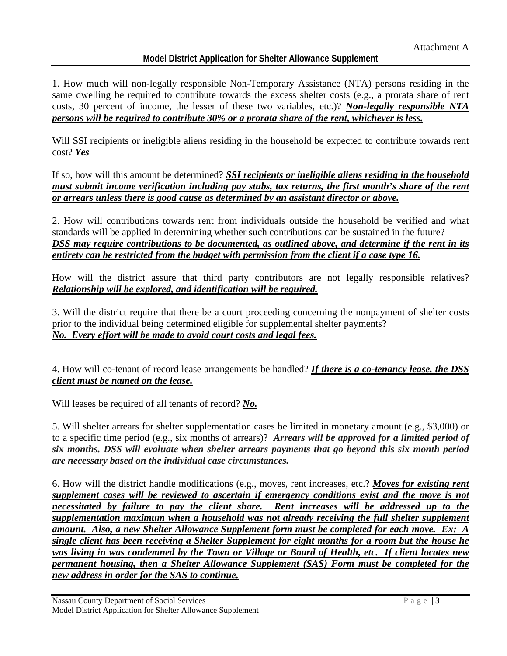# **Model District Application for Shelter Allowance Supplement**

1. How much will non-legally responsible Non-Temporary Assistance (NTA) persons residing in the same dwelling be required to contribute towards the excess shelter costs (e.g., a prorata share of rent costs, 30 percent of income, the lesser of these two variables, etc.)? *Non-legally responsible NTA persons will be required to contribute 30% or a prorata share of the rent, whichever is less.*

Will SSI recipients or ineligible aliens residing in the household be expected to contribute towards rent cost? *Yes*

If so, how will this amount be determined? *SSI recipients or ineligible aliens residing in the household must submit income verification including pay stubs, tax returns, the first month's share of the rent or arrears unless there is good cause as determined by an assistant director or above.*

2. How will contributions towards rent from individuals outside the household be verified and what standards will be applied in determining whether such contributions can be sustained in the future? *DSS may require contributions to be documented, as outlined above, and determine if the rent in its entirety can be restricted from the budget with permission from the client if a case type 16.*

How will the district assure that third party contributors are not legally responsible relatives? *Relationship will be explored, and identification will be required.*

3. Will the district require that there be a court proceeding concerning the nonpayment of shelter costs prior to the individual being determined eligible for supplemental shelter payments? *No. Every effort will be made to avoid court costs and legal fees.* 

4. How will co-tenant of record lease arrangements be handled? *If there is a co-tenancy lease, the DSS client must be named on the lease.*

Will leases be required of all tenants of record? *No.* 

5. Will shelter arrears for shelter supplementation cases be limited in monetary amount (e.g., \$3,000) or to a specific time period (e.g., six months of arrears)? *Arrears will be approved for a limited period of six months. DSS will evaluate when shelter arrears payments that go beyond this six month period are necessary based on the individual case circumstances.*

6. How will the district handle modifications (e.g., moves, rent increases, etc.? *Moves for existing rent supplement cases will be reviewed to ascertain if emergency conditions exist and the move is not necessitated by failure to pay the client share. Rent increases will be addressed up to the supplementation maximum when a household was not already receiving the full shelter supplement amount. Also, a new Shelter Allowance Supplement form must be completed for each move. Ex: A single client has been receiving a Shelter Supplement for eight months for a room but the house he was living in was condemned by the Town or Village or Board of Health, etc. If client locates new permanent housing, then a Shelter Allowance Supplement (SAS) Form must be completed for the new address in order for the SAS to continue.*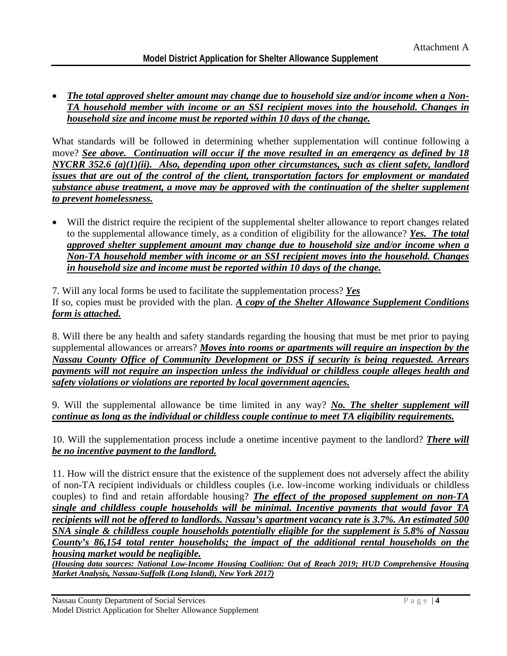• *The total approved shelter amount may change due to household size and/or income when a Non-TA household member with income or an SSI recipient moves into the household. Changes in household size and income must be reported within 10 days of the change.* 

What standards will be followed in determining whether supplementation will continue following a move? *See above. Continuation will occur if the move resulted in an emergency as defined by 18 NYCRR 352.6 (a)(1)(ii). Also, depending upon other circumstances, such as client safety, landlord issues that are out of the control of the client, transportation factors for employment or mandated substance abuse treatment, a move may be approved with the continuation of the shelter supplement to prevent homelessness.* 

• Will the district require the recipient of the supplemental shelter allowance to report changes related to the supplemental allowance timely, as a condition of eligibility for the allowance? *Yes. The total approved shelter supplement amount may change due to household size and/or income when a Non-TA household member with income or an SSI recipient moves into the household. Changes in household size and income must be reported within 10 days of the change.* 

7. Will any local forms be used to facilitate the supplementation process? *Yes*

If so, copies must be provided with the plan. *A copy of the Shelter Allowance Supplement Conditions form is attached.* 

8. Will there be any health and safety standards regarding the housing that must be met prior to paying supplemental allowances or arrears? *Moves into rooms or apartments will require an inspection by the Nassau County Office of Community Development or DSS if security is being requested. Arrears payments will not require an inspection unless the individual or childless couple alleges health and safety violations or violations are reported by local government agencies.*

9. Will the supplemental allowance be time limited in any way? *No. The shelter supplement will continue as long as the individual or childless couple continue to meet TA eligibility requirements.* 

10. Will the supplementation process include a onetime incentive payment to the landlord? *There will be no incentive payment to the landlord.*

11. How will the district ensure that the existence of the supplement does not adversely affect the ability of non-TA recipient individuals or childless couples (i.e. low-income working individuals or childless couples) to find and retain affordable housing? *The effect of the proposed supplement on non-TA single and childless couple households will be minimal. Incentive payments that would favor TA recipients will not be offered to landlords. Nassau's apartment vacancy rate is 3.7%. An estimated 500 SNA single & childless couple households potentially eligible for the supplement is 5.8% of Nassau County's 86,154 total renter households; the impact of the additional rental households on the housing market would be negligible.* 

*(Housing data sources: National Low-Income Housing Coalition: Out of Reach 2019; HUD Comprehensive Housing Market Analysis, Nassau-Suffolk (Long Island), New York 2017)*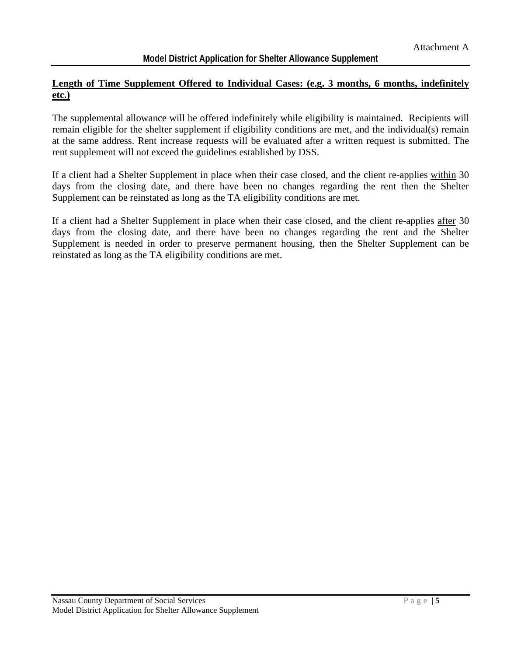# Length of Time Supplement Offered to Individual Cases: (e.g. 3 months, 6 months, indefinitely **etc.)**

The supplemental allowance will be offered indefinitely while eligibility is maintained. Recipients will remain eligible for the shelter supplement if eligibility conditions are met, and the individual(s) remain at the same address. Rent increase requests will be evaluated after a written request is submitted. The rent supplement will not exceed the guidelines established by DSS.

If a client had a Shelter Supplement in place when their case closed, and the client re-applies within 30 days from the closing date, and there have been no changes regarding the rent then the Shelter Supplement can be reinstated as long as the TA eligibility conditions are met.

If a client had a Shelter Supplement in place when their case closed, and the client re-applies after 30 days from the closing date, and there have been no changes regarding the rent and the Shelter Supplement is needed in order to preserve permanent housing, then the Shelter Supplement can be reinstated as long as the TA eligibility conditions are met.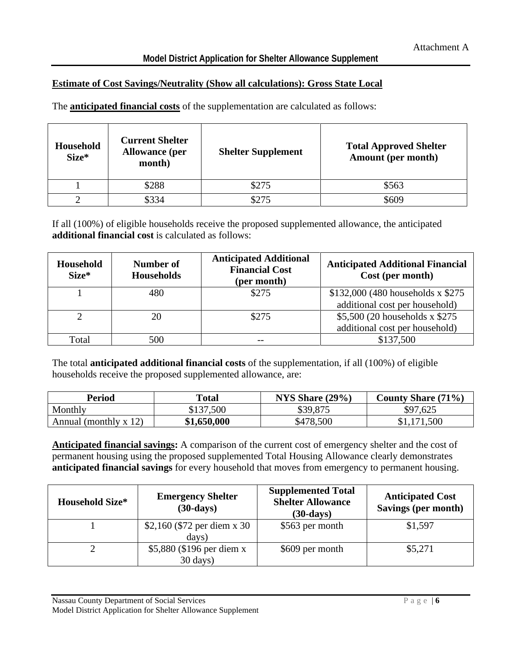# **Estimate of Cost Savings/Neutrality (Show all calculations): Gross State Local**

The **anticipated financial costs** of the supplementation are calculated as follows:

| <b>Household</b><br>Size* | <b>Current Shelter</b><br><b>Allowance</b> (per<br>month) | <b>Shelter Supplement</b> | <b>Total Approved Shelter</b><br><b>Amount</b> (per month) |
|---------------------------|-----------------------------------------------------------|---------------------------|------------------------------------------------------------|
|                           | \$288                                                     | \$275                     | \$563                                                      |
|                           | \$334                                                     | \$275                     | \$609                                                      |

If all (100%) of eligible households receive the proposed supplemented allowance, the anticipated **additional financial cost** is calculated as follows:

| Household<br>Size* | <b>Number of</b><br><b>Households</b> | <b>Anticipated Additional</b><br><b>Financial Cost</b><br>(per month) | <b>Anticipated Additional Financial</b><br>Cost (per month)           |
|--------------------|---------------------------------------|-----------------------------------------------------------------------|-----------------------------------------------------------------------|
|                    | 480                                   | \$275                                                                 | $$132,000$ (480 households x \$275)<br>additional cost per household) |
|                    | 20                                    | \$275                                                                 | \$5,500 (20 households x \$275)<br>additional cost per household)     |
| Total              | 500                                   |                                                                       | \$137,500                                                             |

The total **anticipated additional financial costs** of the supplementation, if all (100%) of eligible households receive the proposed supplemented allowance, are:

| Period                  | Total       | NYS Share $(29\%)$ | <b>County Share (71%)</b> |
|-------------------------|-------------|--------------------|---------------------------|
| Monthly                 | \$137,500   | \$39,875           | \$97,625                  |
| Annual (monthly $x$ 12) | \$1,650,000 | \$478,500          | \$1,171,500               |

**Anticipated financial savings:** A comparison of the current cost of emergency shelter and the cost of permanent housing using the proposed supplemented Total Housing Allowance clearly demonstrates **anticipated financial savings** for every household that moves from emergency to permanent housing.

| <b>Household Size*</b> | <b>Emergency Shelter</b><br>$(30$ -days) | <b>Supplemented Total</b><br><b>Shelter Allowance</b><br>$(30$ -days) | <b>Anticipated Cost</b><br>Savings (per month) |
|------------------------|------------------------------------------|-----------------------------------------------------------------------|------------------------------------------------|
|                        | \$2,160 (\$72 per diem x 30)             | \$563 per month                                                       | \$1,597                                        |
|                        | days)                                    |                                                                       |                                                |
|                        | \$5,880 (\$196 per diem x                | \$609 per month                                                       | \$5,271                                        |
|                        | $30 \text{ days}$ )                      |                                                                       |                                                |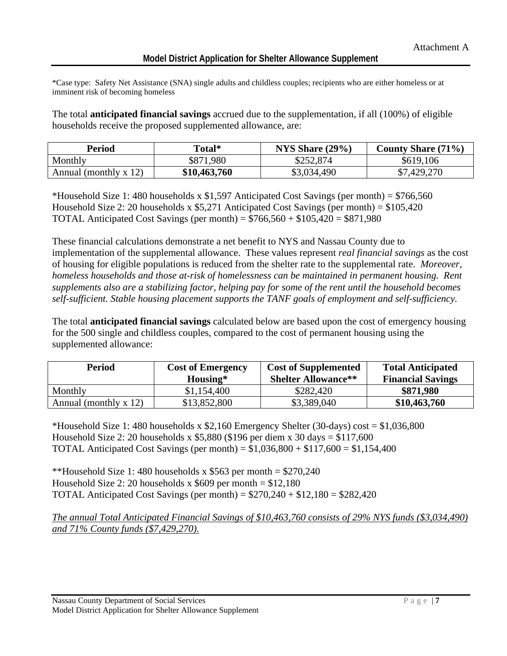\*Case type: Safety Net Assistance (SNA) single adults and childless couples; recipients who are either homeless or at imminent risk of becoming homeless

The total **anticipated financial savings** accrued due to the supplementation, if all (100%) of eligible households receive the proposed supplemented allowance, are:

| Period                  | Total*       | NYS Share $(29\%)$ | <b>County Share (71%)</b> |
|-------------------------|--------------|--------------------|---------------------------|
| Monthly                 | \$871,980    | \$252,874          | \$619,106                 |
| Annual (monthly $x$ 12) | \$10,463,760 | \$3,034,490        | \$7,429,270               |

\*Household Size 1: 480 households x  $$1,597$  Anticipated Cost Savings (per month) =  $$766,560$ Household Size 2: 20 households x  $$5,271$  Anticipated Cost Savings (per month) =  $$105,420$ **TOTAL Anticipated Cost Savings (per month)** =  $$766,560 + $105,420 = $871,980$ 

These financial calculations demonstrate a net benefit to NYS and Nassau County due to implementation of the supplemental allowance. These values represent *real financial savings* as the cost of housing for eligible populations is reduced from the shelter rate to the supplemental rate. *Moreover, homeless households and those at-risk of homelessness can be maintained in permanent housing. Rent supplements also are a stabilizing factor, helping pay for some of the rent until the household becomes self-sufficient. Stable housing placement supports the TANF goals of employment and self-sufficiency.*

The total **anticipated financial savings** calculated below are based upon the cost of emergency housing for the 500 single and childless couples, compared to the cost of permanent housing using the supplemented allowance:

| <b>Period</b>           | <b>Cost of Emergency</b><br>Housing* | <b>Cost of Supplemented</b><br><b>Shelter Allowance**</b> | <b>Total Anticipated</b><br><b>Financial Savings</b> |
|-------------------------|--------------------------------------|-----------------------------------------------------------|------------------------------------------------------|
| Monthly                 | \$1,154,400                          | \$282,420                                                 | \$871,980                                            |
| Annual (monthly $x$ 12) | \$13,852,800                         | \$3,389,040                                               | \$10,463,760                                         |

\*Household Size 1: 480 households x  $$2,160$  Emergency Shelter (30-days) cost =  $$1,036,800$ Household Size 2: 20 households x  $$5,880$  (\$196 per diem x 30 days = \$117,600) TOTAL Anticipated Cost Savings (per month) =  $$1,036,800 + $117,600 = $1,154,400$ 

\*\*Household Size 1: 480 households x \$563 per month  $=$  \$270,240 Household Size 2: 20 households x  $$609$  per month = \$12,180 **TOTAL Anticipated Cost Savings (per month)** =  $$270,240 + $12,180 = $282,420$ 

*The annual Total Anticipated Financial Savings of \$10,463,760 consists of 29% NYS funds (\$3,034,490) and 71% County funds (\$7,429,270).*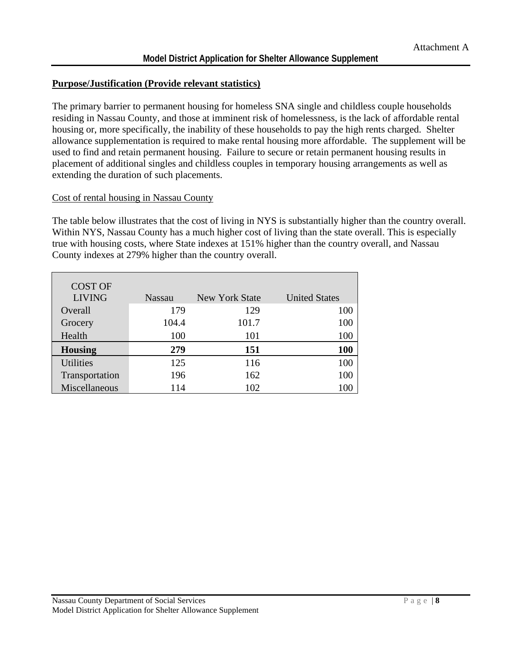#### **Purpose/Justification (Provide relevant statistics)**

The primary barrier to permanent housing for homeless SNA single and childless couple households residing in Nassau County, and those at imminent risk of homelessness, is the lack of affordable rental housing or, more specifically, the inability of these households to pay the high rents charged. Shelter allowance supplementation is required to make rental housing more affordable. The supplement will be used to find and retain permanent housing. Failure to secure or retain permanent housing results in placement of additional singles and childless couples in temporary housing arrangements as well as extending the duration of such placements.

#### Cost of rental housing in Nassau County

The table below illustrates that the cost of living in NYS is substantially higher than the country overall. Within NYS, Nassau County has a much higher cost of living than the state overall. This is especially true with housing costs, where State indexes at 151% higher than the country overall, and Nassau County indexes at 279% higher than the country overall.

| <b>COST OF</b>   |               |                |                      |
|------------------|---------------|----------------|----------------------|
| <b>LIVING</b>    | <b>Nassau</b> | New York State | <b>United States</b> |
| Overall          | 179           | 129            | 100                  |
| Grocery          | 104.4         | 101.7          | 100                  |
| Health           | 100           | 101            | 100                  |
| <b>Housing</b>   | 279           | 151            | 100                  |
| <b>Utilities</b> | 125           | 116            | 100                  |
| Transportation   | 196           | 162            | 100                  |
| Miscellaneous    | 114           | 102            |                      |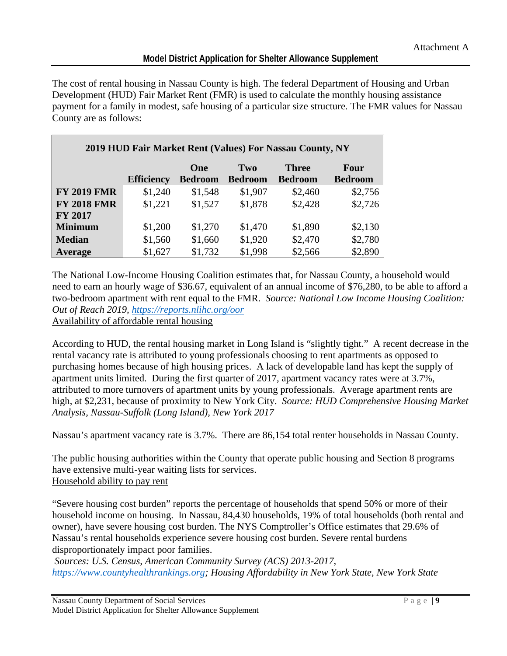The cost of rental housing in Nassau County is high. The federal Department of Housing and Urban Development (HUD) Fair Market Rent (FMR) is used to calculate the monthly housing assistance payment for a family in modest, safe housing of a particular size structure. The FMR values for Nassau County are as follows:

|                    |                   |                |                | 2019 HUD Fair Market Rent (Values) For Nassau County, NY |                |
|--------------------|-------------------|----------------|----------------|----------------------------------------------------------|----------------|
|                    |                   | One            | Two            | <b>Three</b>                                             | Four           |
|                    | <b>Efficiency</b> | <b>Bedroom</b> | <b>Bedroom</b> | <b>Bedroom</b>                                           | <b>Bedroom</b> |
| <b>FY 2019 FMR</b> | \$1,240           | \$1,548        | \$1,907        | \$2,460                                                  | \$2,756        |
| <b>FY 2018 FMR</b> | \$1,221           | \$1,527        | \$1,878        | \$2,428                                                  | \$2,726        |
| <b>FY 2017</b>     |                   |                |                |                                                          |                |
| <b>Minimum</b>     | \$1,200           | \$1,270        | \$1,470        | \$1,890                                                  | \$2,130        |
| <b>Median</b>      | \$1,560           | \$1,660        | \$1,920        | \$2,470                                                  | \$2,780        |
| Average            | \$1,627           | \$1,732        | \$1,998        | \$2,566                                                  | \$2,890        |

The National Low-Income Housing Coalition estimates that, for Nassau County, a household would need to earn an hourly wage of \$36.67, equivalent of an annual income of \$76,280, to be able to afford a two-bedroom apartment with rent equal to the FMR. *Source: National Low Income Housing Coalition: Out of Reach 2019,<https://reports.nlihc.org/oor>* Availability of affordable rental housing

According to HUD, the rental housing market in Long Island is "slightly tight." A recent decrease in the rental vacancy rate is attributed to young professionals choosing to rent apartments as opposed to purchasing homes because of high housing prices. A lack of developable land has kept the supply of apartment units limited. During the first quarter of 2017, apartment vacancy rates were at 3.7%, attributed to more turnovers of apartment units by young professionals. Average apartment rents are high, at \$2,231, because of proximity to New York City. *Source: HUD Comprehensive Housing Market Analysis, Nassau-Suffolk (Long Island), New York 2017*

Nassau's apartment vacancy rate is 3.7%. There are 86,154 total renter households in Nassau County.

The public housing authorities within the County that operate public housing and Section 8 programs have extensive multi-year waiting lists for services. Household ability to pay rent

"Severe housing cost burden" reports the percentage of households that spend 50% or more of their household income on housing. In Nassau, 84,430 households, 19% of total households (both rental and owner), have severe housing cost burden. The NYS Comptroller's Office estimates that 29.6% of Nassau's rental households experience severe housing cost burden. Severe rental burdens disproportionately impact poor families.

*Sources: U.S. Census, American Community Survey (ACS) 2013-2017, [https://www.countyhealthrankings.org;](https://www.countyhealthrankings.org/) Housing Affordability in New York State, New York State*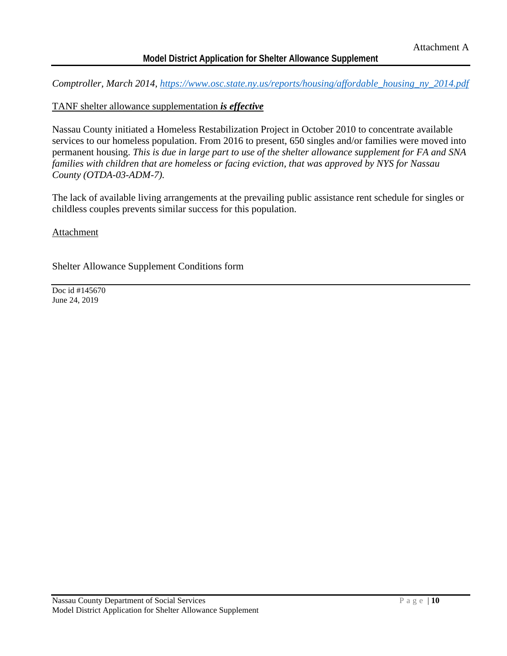# **Model District Application for Shelter Allowance Supplement**

*Comptroller, March 2014, [https://www.osc.state.ny.us/reports/housing/affordable\\_housing\\_ny\\_2014.pdf](https://www.osc.state.ny.us/reports/housing/affordable_housing_ny_2014.pdf)*

#### TANF shelter allowance supplementation *is effective*

Nassau County initiated a Homeless Restabilization Project in October 2010 to concentrate available services to our homeless population. From 2016 to present, 650 singles and/or families were moved into permanent housing. *This is due in large part to use of the shelter allowance supplement for FA and SNA families with children that are homeless or facing eviction, that was approved by NYS for Nassau County (OTDA-03-ADM-7).*

The lack of available living arrangements at the prevailing public assistance rent schedule for singles or childless couples prevents similar success for this population.

#### **Attachment**

Shelter Allowance Supplement Conditions form

Doc id #145670 June 24, 2019